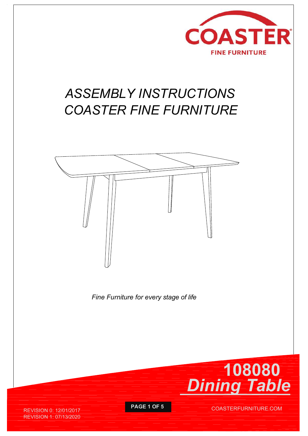

# ASSEMBLY INSTRUCTIONS COASTER FINE FURNITURE



Fine Furniture for every stage of life



REVISION 0: 12/01/2017 **PAGE 1 OF 5** REVISION 1: 07/13/2020

COASTERFURNITURE.COM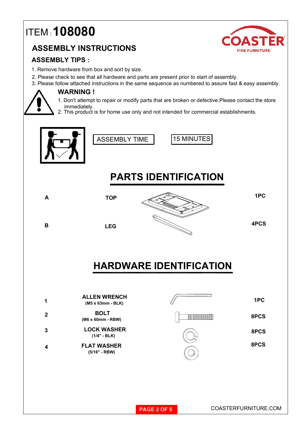## ITEM : 108080

#### ASSEMBLY INSTRUCTIONS



- 1. Remove hardware from box and sort by size.
- 2. Please check to see that all hardware and parts are present prior to start of assembly.
- 3. Please follow attached instructions in the same sequence as numbered to assure fast & easy assembly.



#### WARNING !

- 1. Don't attempt to repair or modify parts that are broken or defective.Please contact the store immediately.
- 2. This product is for home use only and not intended for commercial establishments.







#### PARTS IDENTIFICATION



B<sub>LEG</sub>



4PCS

### HARDWARE IDENTIFICATION

| 1           | <b>ALLEN WRENCH</b><br>(M5 x 63mm - BLK) |                            | 1PC  |  |
|-------------|------------------------------------------|----------------------------|------|--|
| $\mathbf 2$ | <b>BOLT</b><br>(M6 x 60mm - RBW)         | <u> Harris Albert III.</u> | 8PCS |  |
| $\mathbf 3$ | <b>LOCK WASHER</b><br>$(1/4" - BLK)$     | ⇘                          | 8PCS |  |
| 4           | <b>FLAT WASHER</b><br>$(5/16" - RBW)$    |                            | 8PCS |  |
|             |                                          |                            |      |  |
|             |                                          |                            |      |  |

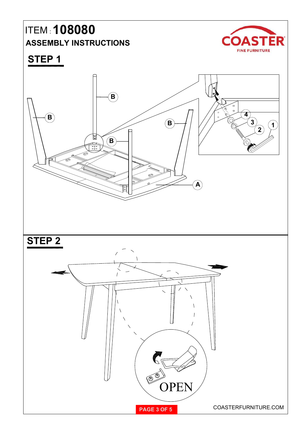## ITEM : 108080 ASSEMBLY INSTRUCTIONS COASTER



STEP 1

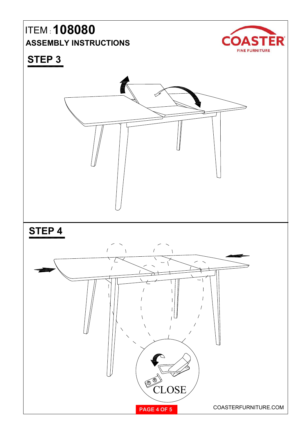### ITEM : 108080 ASSEMBLY INSTRUCTIONS COAST



### STEP 3

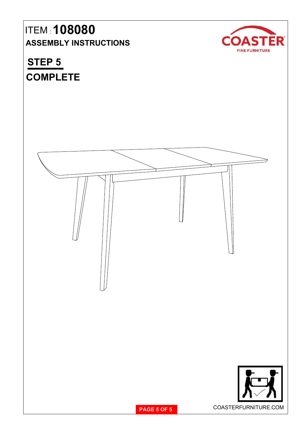